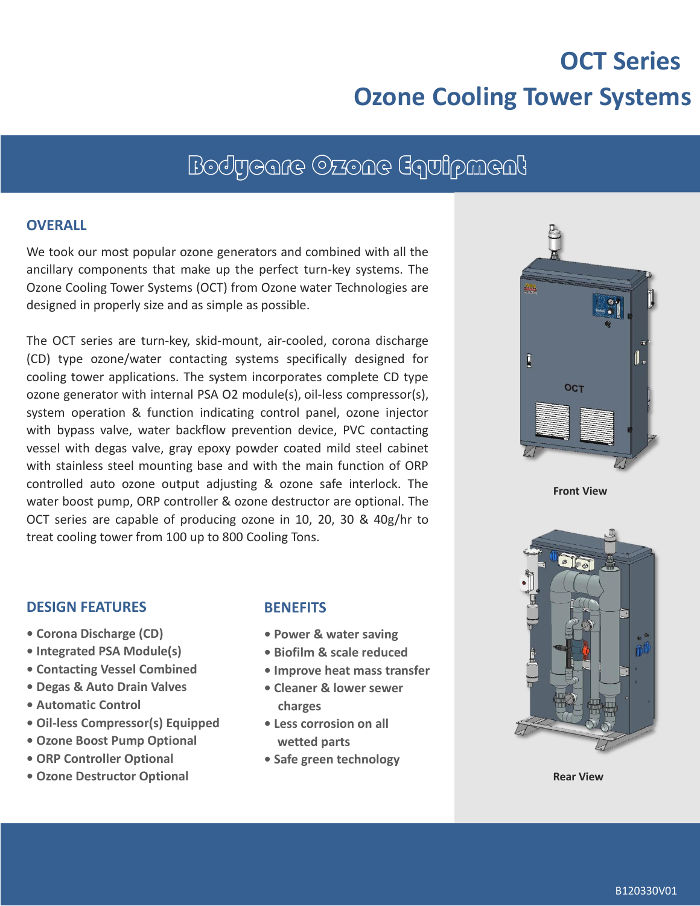# **OCT Series Ozone Cooling Tower Systems**

## Bodycare Ozone Equipment

#### **OVERALL**

We took our most popular ozone generators and combined with all the ancillary components that make up the perfect turn-key systems. The Ozone Cooling Tower Systems (OCT) from Ozone water Technologies are designed in properly size and as simple as possible.

The OCT series are turn-key, skid-mount, air-cooled, corona discharge (CD) type ozone/water contacting systems specifically designed for cooling tower applications. The system incorporates complete CD type ozone generator with internal PSA O2 module(s), oil-less compressor(s), system operation & function indicating control panel, ozone injector with bypass valve, water backflow prevention device, PVC contacting vessel with degas valve, gray epoxy powder coated mild steel cabinet with stainless steel mounting base and with the main function of ORP controlled auto ozone output adjusting & ozone safe interlock. The water boost pump, ORP controller & ozone destructor are optional. The OCT series are capable of producing ozone in 10, 20, 30 & 40g/hr to treat cooling tower from 100 up to 800 Cooling Tons.



**Front View**



**Rear View**

#### **DESIGN FEATURES**

- **Corona Discharge (CD)**
- **Integrated PSA Module(s)**
- **Contacting Vessel Combined**
- **Degas & Auto Drain Valves**
- **• Automatic Control**
- **• Oil-less Compressor(s) Equipped**
- **• Ozone Boost Pump Optional**
- **• ORP Controller Optional**
- **• Ozone Destructor Optional**

#### **BENEFITS**

- **Power & water saving**
- **Biofilm & scale reduced**
- **Improve heat mass transfer**
- **• Cleaner & lower sewer charges**
- **Less corrosion on all wetted parts**
- **Safe green technology**